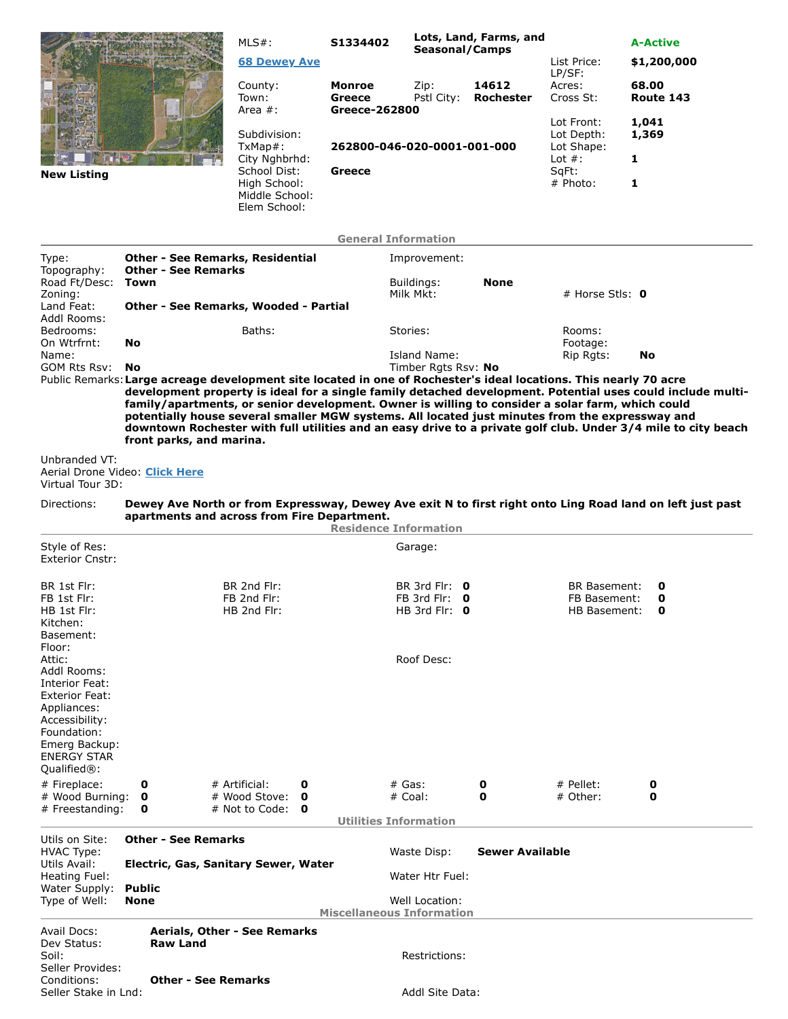|                           |                                                                       | $MLS#$ :<br><b>68 Dewey Ave</b>                | S1334402<br>Seasonal/Camps                             |                         | Lots, Land, Farms, and | List Price:<br>LP/SF:                  | <b>A-Active</b><br>\$1,200,000 |  |  |
|---------------------------|-----------------------------------------------------------------------|------------------------------------------------|--------------------------------------------------------|-------------------------|------------------------|----------------------------------------|--------------------------------|--|--|
|                           |                                                                       | County:<br>Town:                               | <b>Monroe</b><br>Greece                                | Zip:<br>Pstl City:      | 14612<br>Rochester     | Acres:<br>Cross St:                    | 68.00<br>Route 143             |  |  |
|                           |                                                                       | Area $#$ :                                     | Greece-262800<br>262800-046-020-0001-001-000<br>Greece |                         |                        |                                        |                                |  |  |
|                           |                                                                       | Subdivision:<br>TxMap#:                        |                                                        |                         |                        | Lot Front:<br>Lot Depth:<br>Lot Shape: | 1,041<br>1,369                 |  |  |
|                           |                                                                       | City Nghbrhd:<br>School Dist:                  |                                                        |                         |                        | Lot $#$ :<br>SqFt:                     | 1                              |  |  |
| <b>New Listing</b>        |                                                                       | High School:<br>Middle School:<br>Elem School: |                                                        |                         |                        | # Photo:                               | 1                              |  |  |
|                           |                                                                       |                                                | <b>General Information</b>                             |                         |                        |                                        |                                |  |  |
| Type:<br>Topography:      | <b>Other - See Remarks, Residential</b><br><b>Other - See Remarks</b> |                                                |                                                        | Improvement:            |                        |                                        |                                |  |  |
| Road Ft/Desc:<br>Zoning:  | Town                                                                  |                                                |                                                        | Buildings:<br>Milk Mkt: | <b>None</b>            | # Horse Stls: $\mathbf 0$              |                                |  |  |
| Land Feat:<br>Addl Rooms: | Other - See Remarks, Wooded - Partial                                 |                                                |                                                        |                         |                        |                                        |                                |  |  |
| Bedrooms:<br>On Wtrfrnt:  | No                                                                    | Baths:                                         |                                                        | Stories:                |                        | Rooms:<br>Footage:                     |                                |  |  |
| Name:                     |                                                                       |                                                |                                                        | Island Name:            |                        | Rip Rgts:                              | No                             |  |  |

GOM Rts Rsv: **No** Timber Rgts Rsv: **No**

Public Remarks:**Large acreage development site located in one of Rochester's ideal locations. This nearly 70 acre development property is ideal for a single family detached development. Potential uses could include multifamily/apartments, or senior development. Owner is willing to consider a solar farm, which could potentially house several smaller MGW systems. All located just minutes from the expressway and downtown Rochester with full utilities and an easy drive to a private golf club. Under 3/4 mile to city beach front parks, and marina.**

## Unbranded VT: Aerial Drone Video: **Click Here** Virtual Tour 3D:

## Directions: **Dewey Ave North or from Expressway, Dewey Ave exit N to first right onto Ling Road land on left just past apartments and across from Fire Department.**

|                                                                                                                                                                        |                                           |                                                                    |                                           |               | <b>Residence Information</b>                             |                |   |  |                                                                    |  |   |  |
|------------------------------------------------------------------------------------------------------------------------------------------------------------------------|-------------------------------------------|--------------------------------------------------------------------|-------------------------------------------|---------------|----------------------------------------------------------|----------------|---|--|--------------------------------------------------------------------|--|---|--|
| Style of Res:<br><b>Exterior Cnstr:</b>                                                                                                                                |                                           |                                                                    |                                           |               |                                                          | Garage:        |   |  |                                                                    |  |   |  |
| BR 1st Flr:<br>FB 1st Flr:<br>HB 1st Flr:<br>Kitchen:<br>Basement:<br>Floor:                                                                                           | BR 2nd Flr:<br>FB 2nd Flr:<br>HB 2nd Flr: |                                                                    |                                           |               | BR 3rd Flr: $0$<br>FB 3rd Flr: $0$<br>HB 3rd Flr: $0$    |                |   |  | <b>BR Basement:</b><br>0<br>FB Basement:<br>0<br>HB Basement:<br>0 |  |   |  |
| Attic:<br>Addl Rooms:<br>Interior Feat:<br><b>Exterior Feat:</b><br>Appliances:<br>Accessibility:<br>Foundation:<br>Emerg Backup:<br><b>ENERGY STAR</b><br>Qualified®: |                                           |                                                                    |                                           |               |                                                          | Roof Desc:     |   |  |                                                                    |  |   |  |
| # Fireplace:                                                                                                                                                           | 0                                         |                                                                    | # Artificial:                             | 0             |                                                          | $#$ Gas:       | 0 |  | # Pellet:                                                          |  | 0 |  |
| # Wood Burning:<br># Freestanding:                                                                                                                                     | $\mathbf 0$<br>0                          |                                                                    | # Wood Stove:<br># Not to Code: $\bullet$ | 0             |                                                          | # Coal:        | 0 |  | # Other:                                                           |  | 0 |  |
|                                                                                                                                                                        |                                           |                                                                    |                                           |               | <b>Utilities Information</b>                             |                |   |  |                                                                    |  |   |  |
| Utils on Site:<br><b>HVAC Type:</b><br>Utils Avail:                                                                                                                    |                                           | <b>Other - See Remarks</b><br>Electric, Gas, Sanitary Sewer, Water |                                           |               | <b>Sewer Available</b><br>Waste Disp:<br>Water Htr Fuel: |                |   |  |                                                                    |  |   |  |
| Heating Fuel:                                                                                                                                                          |                                           |                                                                    |                                           |               |                                                          |                |   |  |                                                                    |  |   |  |
| Water Supply:<br>Type of Well:                                                                                                                                         | <b>Public</b><br><b>None</b>              |                                                                    |                                           |               | <b>Miscellaneous Information</b>                         | Well Location: |   |  |                                                                    |  |   |  |
| Aerials, Other - See Remarks<br>Avail Docs:<br><b>Raw Land</b><br>Dev Status:<br>Soil:<br>Seller Provides:<br>Conditions:<br><b>Other - See Remarks</b>                |                                           |                                                                    |                                           | Restrictions: |                                                          |                |   |  |                                                                    |  |   |  |
| Seller Stake in Lnd:                                                                                                                                                   |                                           |                                                                    |                                           |               | Addl Site Data:                                          |                |   |  |                                                                    |  |   |  |